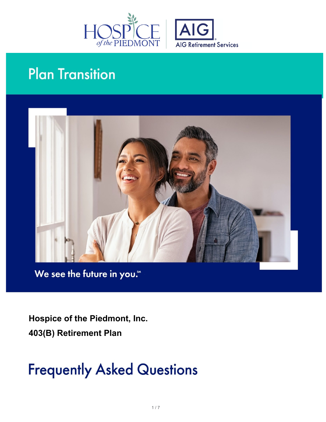



# **Plan Transition**



We see the future in you."

 **Hospice of the Piedmont, Inc. 403(B) Retirement Plan**

# **Frequently Asked Questions**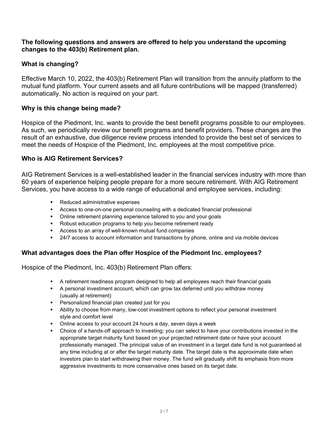#### **The following questions and answers are offered to help you understand the upcoming changes to the 403(b) Retirement plan.**

# **What is changing?**

Effective March 10, 2022, the 403(b) Retirement Plan will transition from the annuity platform to the mutual fund platform. Your current assets and all future contributions will be mapped (transferred) automatically. No action is required on your part.

# **Why is this change being made?**

Hospice of the Piedmont, Inc. wants to provide the best benefit programs possible to our employees. As such, we periodically review our benefit programs and benefit providers. These changes are the result of an exhaustive, due diligence review process intended to provide the best set of services to meet the needs of Hospice of the Piedmont, Inc. employees at the most competitive price.

### **Who is AIG Retirement Services?**

AIG Retirement Services is a well-established leader in the financial services industry with more than 60 years of experience helping people prepare for a more secure retirement. With AIG Retirement Services, you have access to a wide range of educational and employee services, including:

- Reduced administrative expenses
- Access to one-on-one personal counseling with a dedicated financial professional
- Online retirement planning experience tailored to you and your goals
- Robust education programs to help you become retirement ready
- Access to an array of well-known mutual fund companies
- 24/7 access to account information and transactions by phone, online and via mobile devices

# **What advantages does the Plan offer Hospice of the Piedmont Inc. employees?**

Hospice of the Piedmont, Inc. 403(b) Retirement Plan offers:

- A retirement readiness program designed to help all employees reach their financial goals
- A personal investment account, which can grow tax deferred until you withdraw money (usually at retirement)
- Personalized financial plan created just for you
- Ability to choose from many, low-cost investment options to reflect your personal investment style and comfort level
- Online access to your account 24 hours a day, seven days a week
- Choice of a hands-off approach to investing; you can select to have your contributions invested in the appropriate target maturity fund based on your projected retirement date or have your account professionally managed. The principal value of an investment in a target date fund is not guaranteed at any time including at or after the target maturity date. The target date is the approximate date when investors plan to start withdrawing their money. The fund will gradually shift its emphasis from more aggressive investments to more conservative ones based on its target date.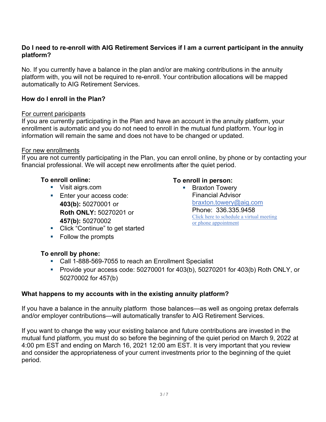#### **Do I need to re-enroll with AIG Retirement Services if I am a current participant in the annuity platform?**

No. If you currently have a balance in the plan and/or are making contributions in the annuity platform with, you will not be required to re-enroll. Your contribution allocations will be mapped automatically to AIG Retirement Services.

### **How do I enroll in the Plan?**

#### For current paricipants

If you are currently participating in the Plan and have an account in the annuity platform, your enrollment is automatic and you do not need to enroll in the mutual fund platform. Your log in information will remain the same and does not have to be changed or updated.

#### For new enrollments

If you are not currently participating in the Plan, you can enroll online, by phone or by contacting your financial professional. We will accept new enrollments after the quiet period.

### **To enroll online:**

- Visit aigrs.com
- **Enter your access code: 403(b):** 50270001 or **Roth ONLY:** 50270201 or **457(b):** 50270002

# **To enroll in person:**

- **Braxton Towery** Financial Advisor [braxton.towery@aig.com](mailto:braxton.towery@aig.com) Phone: 336.335.9458 [Click here to schedule a virtual meeting](https://my.valic.com/seminarregistration/availableseminars.aspx?regcode=6811GRE11AB)  [or phone appointment](https://my.valic.com/seminarregistration/availableseminars.aspx?regcode=6811GRE11AB)
- **EXECLICE** "Continue" to get started
- Follow the prompts

# **To enroll by phone:**

- Call 1-888-569-7055 to reach an Enrollment Specialist
- Provide your access code: 50270001 for 403(b), 50270201 for 403(b) Roth ONLY, or 50270002 for 457(b)

#### **What happens to my accounts with in the existing annuity platform?**

If you have a balance in the annuity platform those balances—as well as ongoing pretax deferrals and/or employer contributions—will automatically transfer to AIG Retirement Services.

If you want to change the way your existing balance and future contributions are invested in the mutual fund platform, you must do so before the beginning of the quiet period on March 9, 2022 at 4:00 pm EST and ending on March 16, 2021 12:00 am EST. It is very important that you review and consider the appropriateness of your current investments prior to the beginning of the quiet period.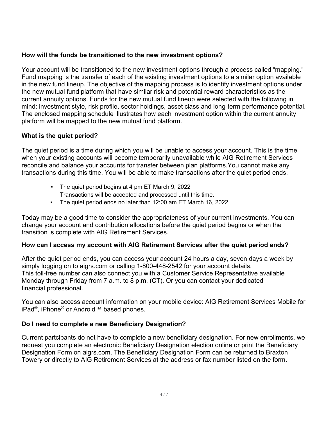# **How will the funds be transitioned to the new investment options?**

Your account will be transitioned to the new investment options through a process called "mapping." Fund mapping is the transfer of each of the existing investment options to a similar option available in the new fund lineup. The objective of the mapping process is to identify investment options under the new mutual fund platform that have similar risk and potential reward characteristics as the current annuity options. Funds for the new mutual fund lineup were selected with the following in mind: investment style, risk profile, sector holdings, asset class and long-term performance potential. The enclosed mapping schedule illustrates how each investment option within the current annuity platform will be mapped to the new mutual fund platform.

# **What is the quiet period?**

The quiet period is a time during which you will be unable to access your account. This is the time when your existing accounts will become temporarily unavailable while AIG Retirement Services reconcile and balance your accounts for transfer between plan platforms.You cannot make any transactions during this time. You will be able to make transactions after the quiet period ends.

- The quiet period begins at 4 pm ET March 9, 2022 Transactions will be accepted and processed until this time.
- The quiet period ends no later than 12:00 am ET March 16, 2022

Today may be a good time to consider the appropriateness of your current investments. You can change your account and contribution allocations before the quiet period begins or when the transition is complete with AIG Retirement Services.

# **How can I access my account with AIG Retirement Services after the quiet period ends?**

After the quiet period ends, you can access your account 24 hours a day, seven days a week by simply logging on to aigrs.com or calling 1-800-448-2542 for your account details. This toll-free number can also connect you with a Customer Service Representative available Monday through Friday from 7 a.m. to 8 p.m. (CT). Or you can contact your dedicated financial professional.

You can also access account information on your mobile device: AIG Retirement Services Mobile for iPad®, iPhone® or Android™ based phones.

# **Do I need to complete a new Beneficiary Designation?**

Current partcipants do not have to complete a new beneficiary designation. For new enrollments, we request you complete an electronic Beneficiary Designation election online or print the Beneficiary Designation Form on aigrs.com. The Beneficiary Designation Form can be returned to Braxton Towery or directly to AIG Retirement Services at the address or fax number listed on the form.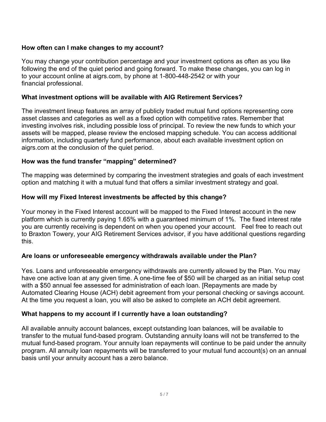# **How often can I make changes to my account?**

You may change your contribution percentage and your investment options as often as you like following the end of the quiet period and going forward. To make these changes, you can log in to your account online at aigrs.com, by phone at 1-800-448-2542 or with your financial professional.

#### **What investment options will be available with AIG Retirement Services?**

The investment lineup features an array of publicly traded mutual fund options representing core asset classes and categories as well as a fixed option with competitive rates. Remember that investing involves risk, including possible loss of principal. To review the new funds to which your assets will be mapped, please review the enclosed mapping schedule. You can access additional information, including quarterly fund performance, about each available investment option on aigrs.com at the conclusion of the quiet period.

#### **How was the fund transfer "mapping" determined?**

The mapping was determined by comparing the investment strategies and goals of each investment option and matching it with a mutual fund that offers a similar investment strategy and goal.

#### **How will my Fixed Interest investments be affected by this change?**

Your money in the Fixed Interest account will be mapped to the Fixed Interest account in the new platform which is currently paying 1.65% with a guaranteed minimum of 1%. The fixed interest rate you are currently receiving is dependent on when you opened your account. Feel free to reach out to Braxton Towery, your AIG Retirement Services advisor, if you have additional questions regarding this.

#### **Are loans or unforeseeable emergency withdrawals available under the Plan?**

Yes. Loans and unforeseeable emergency withdrawals are currently allowed by the Plan. You may have one active loan at any given time. A one-time fee of \$50 will be charged as an initial setup cost with a \$50 annual fee assessed for administration of each loan. [Repayments are made by Automated Clearing House (ACH) debit agreement from your personal checking or savings account. At the time you request a loan, you will also be asked to complete an ACH debit agreement.

#### **What happens to my account if I currently have a loan outstanding?**

All available annuity account balances, except outstanding loan balances, will be available to transfer to the mutual fund-based program. Outstanding annuity loans will not be transferred to the mutual fund-based program. Your annuity loan repayments will continue to be paid under the annuity program. All annuity loan repayments will be transferred to your mutual fund account(s) on an annual basis until your annuity account has a zero balance.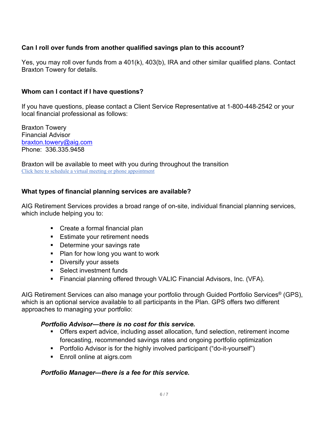# **Can I roll over funds from another qualified savings plan to this account?**

Yes, you may roll over funds from a 401(k), 403(b), IRA and other similar qualified plans. Contact Braxton Towery for details.

# **Whom can I contact if I have questions?**

If you have questions, please contact a Client Service Representative at 1-800-448-2542 or your local financial professional as follows:

Braxton Towery Financial Advisor [braxton.towery@aig.com](mailto:braxton.towery@aig.com) Phone: 336.335.9458

Braxton will be available to meet with you during throughout the transition [Click here to schedule a virtual meeting or phone appointment](https://my.valic.com/seminarregistration/availableseminars.aspx?regcode=6811GRE11AB)

# **What types of financial planning services are available?**

AIG Retirement Services provides a broad range of on-site, individual financial planning services, which include helping you to:

- **Create a formal financial plan**
- **Estimate your retirement needs**
- **Determine your savings rate**
- Plan for how long you want to work
- **Diversify your assets**
- **Select investment funds**
- Financial planning offered through VALIC Financial Advisors, Inc. (VFA).

AIG Retirement Services can also manage your portfolio through Guided Portfolio Services® (GPS), which is an optional service available to all participants in the Plan. GPS offers two different approaches to managing your portfolio:

#### *Portfolio Advisor—there is no cost for this service.*

- Offers expert advice, including asset allocation, fund selection, retirement income forecasting, recommended savings rates and ongoing portfolio optimization
- Portfolio Advisor is for the highly involved participant ("do-it-yourself")
- Enroll online at aigrs.com

# *Portfolio Manager—there is a fee for this service.*